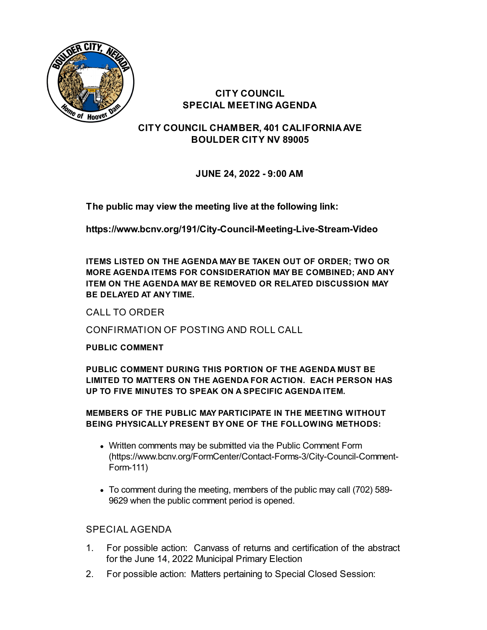

**CITY COUNCIL SPECIAL MEETING AGENDA**

**CITY COUNCIL CHAMBER, 401 CALIFORNIAAVE BOULDER CITY NV 89005**

**JUNE 24, 2022 - 9:00 AM**

**The public may view the meeting live at the following link:**

**<https://www.bcnv.org/191/City-Council-Meeting-Live-Stream-Video>**

**ITEMS LISTED ON THE AGENDA MAY BE TAKEN OUT OF ORDER; TWO OR MORE AGENDA ITEMS FOR CONSIDERATION MAY BE COMBINED; AND ANY ITEM ON THE AGENDA MAY BE REMOVED OR RELATED DISCUSSION MAY BE DELAYED AT ANY TIME.**

CALL TO ORDER

CONFIRMATION OF POSTING AND ROLL CALL

**PUBLIC COMMENT**

**PUBLIC COMMENT DURING THIS PORTION OF THE AGENDA MUST BE LIMITED TO MATTERS ON THE AGENDA FOR ACTION. EACH PERSON HAS UP TO FIVE MINUTES TO SPEAK ON A SPECIFIC AGENDA ITEM.**

## **MEMBERS OF THE PUBLIC MAY PARTICIPATE IN THE MEETING WITHOUT BEING PHYSICALLY PRESENT BY ONE OF THE FOLLOWING METHODS:**

- Written comments may be submitted via the Public Comment Form [\(https://www.bcnv.org/FormCenter/Contact-Forms-3/City-Council-Comment-](https://www.bcnv.org/FormCenter/Contact-Forms-3/City-Council-Comment-Form-111)Form-111)
- To comment during the meeting, members of the public may call (702) 589- 9629 when the public comment period is opened.

## SPECIAL AGENDA

- 1. For possible action: Canvass of returns and [certification](file:///C:/Windows/TEMP/CoverSheet.aspx?ItemID=5168&MeetingID=1140) of the abstract for the June 14, 2022 Municipal Primary Election
- 2. For possible action: Matters pertaining to Special Closed Session: